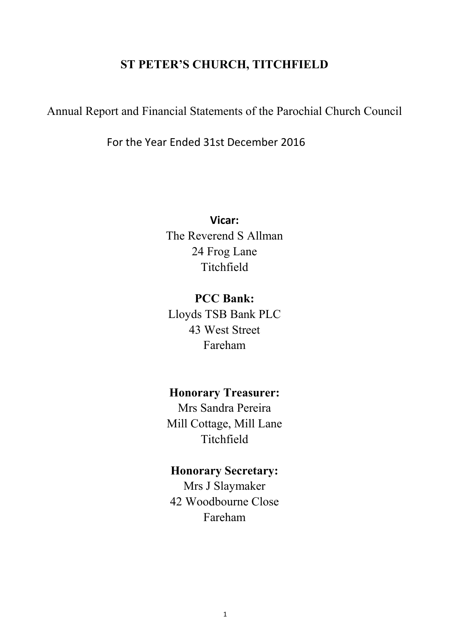# **ST PETER'S CHURCH, TITCHFIELD**

Annual Report and Financial Statements of the Parochial Church Council

For the Year Ended 31st December 2016

**Vicar:** The Reverend S Allman 24 Frog Lane Titchfield

**PCC Bank:** Lloyds TSB Bank PLC 43 West Street Fareham

**Honorary Treasurer:**

Mrs Sandra Pereira Mill Cottage, Mill Lane Titchfield

# **Honorary Secretary:**

Mrs J Slaymaker 42 Woodbourne Close Fareham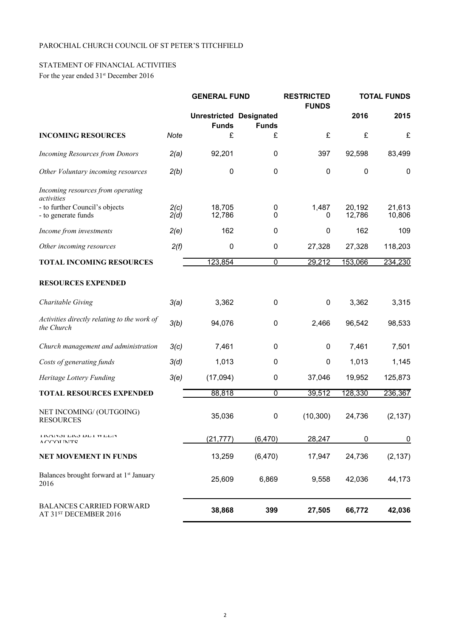### PAROCHIAL CHURCH COUNCIL OF ST PETER'S TITCHFIELD

# STATEMENT OF FINANCIAL ACTIVITIES

For the year ended  $31<sup>st</sup>$  December 2016

|                                                             |              | <b>GENERAL FUND</b>                            |                | <b>RESTRICTED</b><br><b>FUNDS</b> |                  | <b>TOTAL FUNDS</b> |
|-------------------------------------------------------------|--------------|------------------------------------------------|----------------|-----------------------------------|------------------|--------------------|
|                                                             |              | <b>Unrestricted Designated</b><br><b>Funds</b> | <b>Funds</b>   |                                   | 2016             | 2015               |
| <b>INCOMING RESOURCES</b>                                   | Note         | £                                              | £              | £                                 | £                | £                  |
| <b>Incoming Resources from Donors</b>                       | 2(a)         | 92,201                                         | 0              | 397                               | 92,598           | 83,499             |
| Other Voluntary incoming resources                          | 2(b)         | $\mathbf 0$                                    | $\mathbf 0$    | 0                                 | $\pmb{0}$        | $\mathbf 0$        |
| Incoming resources from operating<br>activities             |              |                                                |                |                                   |                  |                    |
| - to further Council's objects<br>- to generate funds       | 2(c)<br>2(d) | 18,705<br>12,786                               | 0<br>0         | 1,487<br>0                        | 20,192<br>12,786 | 21,613<br>10,806   |
| Income from investments                                     | 2(e)         | 162                                            | 0              | $\mathbf{0}$                      | 162              | 109                |
| Other incoming resources                                    | 2(f)         | $\boldsymbol{0}$                               | $\mathbf 0$    | 27,328                            | 27,328           | 118,203            |
| <b>TOTAL INCOMING RESOURCES</b>                             |              | 123,854                                        | $\overline{0}$ | 29,212                            | 153,066          | 234,230            |
| <b>RESOURCES EXPENDED</b>                                   |              |                                                |                |                                   |                  |                    |
| Charitable Giving                                           | 3(a)         | 3,362                                          | $\mathbf 0$    | 0                                 | 3,362            | 3,315              |
| Activities directly relating to the work of<br>the Church   | 3(b)         | 94,076                                         | $\pmb{0}$      | 2,466                             | 96,542           | 98,533             |
| Church management and administration                        | 3(c)         | 7,461                                          | $\pmb{0}$      | 0                                 | 7,461            | 7,501              |
| Costs of generating funds                                   | 3(d)         | 1,013                                          | 0              | 0                                 | 1,013            | 1,145              |
| Heritage Lottery Funding                                    | 3(e)         | (17,094)                                       | $\pmb{0}$      | 37,046                            | 19,952           | 125,873            |
| <b>TOTAL RESOURCES EXPENDED</b>                             |              | 88,818                                         | $\mathbf 0$    | 39,512                            | 128,330          | 236,367            |
| NET INCOMING/ (OUTGOING)<br><b>RESOURCES</b>                |              | 35,036                                         | $\pmb{0}$      | (10, 300)                         | 24,736           | (2, 137)           |
| <b>TIVATANI. FIZ'N DE LA A FETA</b><br>A CCOLINITE          |              | (21, 777)                                      | (6, 470)       | 28,247                            | $\mathbf 0$      | $\overline{0}$     |
| <b>NET MOVEMENT IN FUNDS</b>                                |              | 13,259                                         | (6, 470)       | 17,947                            | 24,736           | (2, 137)           |
| Balances brought forward at 1 <sup>st</sup> January<br>2016 |              | 25,609                                         | 6,869          | 9,558                             | 42,036           | 44,173             |
| <b>BALANCES CARRIED FORWARD</b><br>AT 31ST DECEMBER 2016    |              | 38,868                                         | 399            | 27,505                            | 66,772           | 42,036             |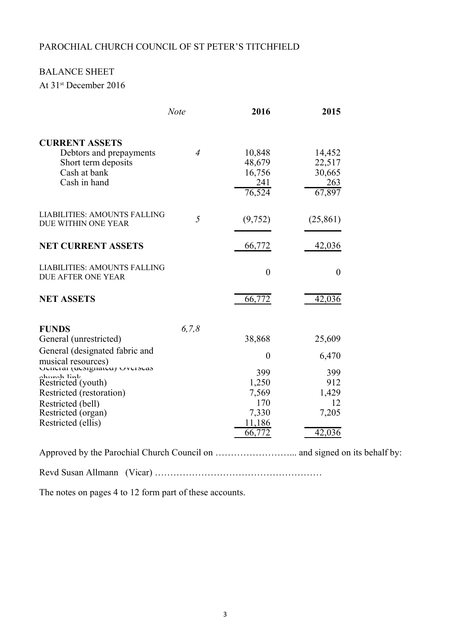# PAROCHIAL CHURCH COUNCIL OF ST PETER'S TITCHFIELD

# BALANCE SHEET

At 31st December 2016

|                                                                                                                                                                                                                                                                    | <b>Note</b>    | 2016                                                                                  | 2015                                                            |
|--------------------------------------------------------------------------------------------------------------------------------------------------------------------------------------------------------------------------------------------------------------------|----------------|---------------------------------------------------------------------------------------|-----------------------------------------------------------------|
| <b>CURRENT ASSETS</b><br>Debtors and prepayments<br>Short term deposits<br>Cash at bank<br>Cash in hand                                                                                                                                                            | $\overline{4}$ | 10,848<br>48,679<br>16,756<br>241<br>76,524                                           | 14,452<br>22,517<br>30,665<br>263<br>67,897                     |
| <b>LIABILITIES: AMOUNTS FALLING</b><br>DUE WITHIN ONE YEAR                                                                                                                                                                                                         | 5              | (9,752)                                                                               | (25, 861)                                                       |
| <b>NET CURRENT ASSETS</b>                                                                                                                                                                                                                                          |                | 66,772                                                                                | 42,036                                                          |
| LIABILITIES: AMOUNTS FALLING<br><b>DUE AFTER ONE YEAR</b>                                                                                                                                                                                                          |                | $\theta$                                                                              | $\overline{0}$                                                  |
| <b>NET ASSETS</b>                                                                                                                                                                                                                                                  |                | 66,772                                                                                | 42,036                                                          |
| <b>FUNDS</b><br>General (unrestricted)<br>General (designated fabric and<br>musical resources)<br>UULULAI (UUSIRIIAIU) UVUISUAS<br>ahunah linte<br>Restricted (youth)<br>Restricted (restoration)<br>Restricted (bell)<br>Restricted (organ)<br>Restricted (ellis) | 6, 7, 8        | 38,868<br>$\overline{0}$<br>399<br>1,250<br>7,569<br>170<br>7,330<br>11,186<br>66,772 | 25,609<br>6,470<br>399<br>912<br>1,429<br>12<br>7,205<br>42,036 |

Approved by the Parochial Church Council on ……………………... and signed on its behalf by:

Revd Susan Allmann (Vicar) ………………………………………………

The notes on pages 4 to 12 form part of these accounts.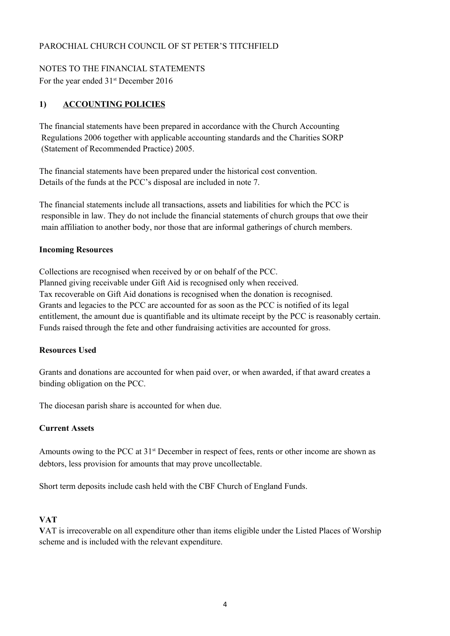### PAROCHIAL CHURCH COUNCIL OF ST PETER'S TITCHFIELD

### NOTES TO THE FINANCIAL STATEMENTS

For the year ended  $31<sup>st</sup>$  December 2016

## **1) ACCOUNTING POLICIES**

The financial statements have been prepared in accordance with the Church Accounting Regulations 2006 together with applicable accounting standards and the Charities SORP (Statement of Recommended Practice) 2005.

The financial statements have been prepared under the historical cost convention. Details of the funds at the PCC's disposal are included in note 7.

The financial statements include all transactions, assets and liabilities for which the PCC is responsible in law. They do not include the financial statements of church groups that owe their main affiliation to another body, nor those that are informal gatherings of church members.

### **Incoming Resources**

Collections are recognised when received by or on behalf of the PCC. Planned giving receivable under Gift Aid is recognised only when received. Tax recoverable on Gift Aid donations is recognised when the donation is recognised. Grants and legacies to the PCC are accounted for as soon as the PCC is notified of its legal entitlement, the amount due is quantifiable and its ultimate receipt by the PCC is reasonably certain. Funds raised through the fete and other fundraising activities are accounted for gross.

### **Resources Used**

Grants and donations are accounted for when paid over, or when awarded, if that award creates a binding obligation on the PCC.

The diocesan parish share is accounted for when due.

### **Current Assets**

debtors, less provision for amounts that may prove uncollectable. Amounts owing to the PCC at  $31<sup>st</sup>$  December in respect of fees, rents or other income are shown as

Short term deposits include cash held with the CBF Church of England Funds.

### **VAT**

scheme and is included with the relevant expenditure. **V**AT is irrecoverable on all expenditure other than items eligible under the Listed Places of Worship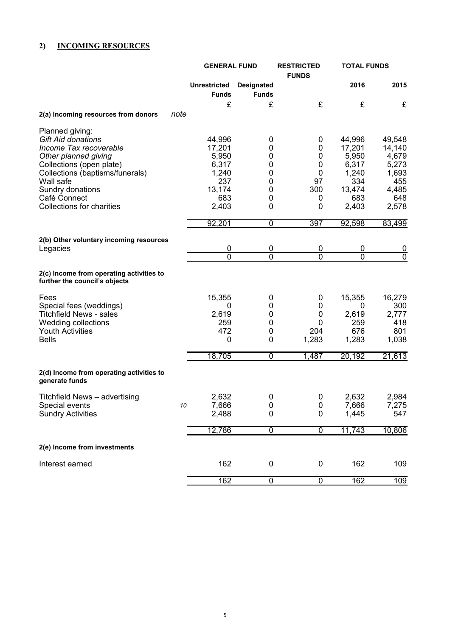# **2) INCOMING RESOURCES**

|                                                                                                                                                                                                |                                                              | <b>GENERAL FUND</b>               |                                    | <b>TOTAL FUNDS</b><br><b>RESTRICTED</b>                      |                                                             |
|------------------------------------------------------------------------------------------------------------------------------------------------------------------------------------------------|--------------------------------------------------------------|-----------------------------------|------------------------------------|--------------------------------------------------------------|-------------------------------------------------------------|
|                                                                                                                                                                                                | <b>Unrestricted</b><br><b>Funds</b>                          | <b>Designated</b><br><b>Funds</b> |                                    | 2016                                                         | 2015                                                        |
|                                                                                                                                                                                                | £                                                            | £                                 | £                                  | £                                                            | £                                                           |
| 2(a) Incoming resources from donors<br>note                                                                                                                                                    |                                                              |                                   |                                    |                                                              |                                                             |
| Planned giving:<br><b>Gift Aid donations</b><br>Income Tax recoverable<br>Other planned giving<br>Collections (open plate)<br>Collections (baptisms/funerals)<br>Wall safe<br>Sundry donations | 44,996<br>17,201<br>5,950<br>6,317<br>1,240<br>237<br>13,174 | 0<br>0<br>0<br>0<br>0<br>0<br>0   | 0<br>0<br>0<br>0<br>0<br>97<br>300 | 44,996<br>17,201<br>5,950<br>6,317<br>1,240<br>334<br>13,474 | 49,548<br>14,140<br>4,679<br>5,273<br>1,693<br>455<br>4,485 |
| Café Connect                                                                                                                                                                                   | 683                                                          | 0                                 | 0                                  | 683                                                          | 648                                                         |
| Collections for charities                                                                                                                                                                      | 2,403                                                        | 0                                 | 0                                  | 2,403                                                        | 2,578                                                       |
|                                                                                                                                                                                                | 92,201                                                       | $\overline{0}$                    | 397                                | 92,598                                                       | 83,499                                                      |
| 2(b) Other voluntary incoming resources                                                                                                                                                        |                                                              |                                   |                                    |                                                              |                                                             |
| Legacies                                                                                                                                                                                       | 0                                                            | $\overline{0}$                    | 0                                  | 0                                                            | <u>0</u>                                                    |
|                                                                                                                                                                                                | $\overline{0}$                                               | $\overline{0}$                    | $\overline{0}$                     | $\overline{0}$                                               | $\overline{0}$                                              |
| 2(c) Income from operating activities to<br>further the council's objects                                                                                                                      |                                                              |                                   |                                    |                                                              |                                                             |
| Fees<br>Special fees (weddings)<br><b>Titchfield News - sales</b><br>Wedding collections<br><b>Youth Activities</b><br><b>Bells</b>                                                            | 15,355<br>0<br>2,619<br>259<br>472<br>0                      | 0<br>0<br>0<br>0<br>0<br>0        | 0<br>0<br>0<br>0<br>204<br>1,283   | 15,355<br>0<br>2,619<br>259<br>676<br>1,283                  | 16,279<br>300<br>2,777<br>418<br>801<br>1,038               |
|                                                                                                                                                                                                | 18,705                                                       | $\Omega$                          | 1,487                              | 20,192                                                       | 21,613                                                      |
| 2(d) Income from operating activities to<br>generate funds                                                                                                                                     |                                                              |                                   |                                    |                                                              |                                                             |
| Titchfield News - advertising<br>Special events<br><b>Sundry Activities</b>                                                                                                                    | 2,632<br>7,666<br>$10\,$<br>2,488                            | 0<br>0<br>0                       | 0<br>$\mathbf 0$<br>0              | 2,632<br>7,666<br>1,445                                      | 2,984<br>7,275<br>547                                       |
|                                                                                                                                                                                                | 12,786                                                       | $\overline{0}$                    | $\overline{0}$                     | 11,743                                                       | 10,806                                                      |
| 2(e) Income from investments                                                                                                                                                                   |                                                              |                                   |                                    |                                                              |                                                             |
| Interest earned                                                                                                                                                                                | 162                                                          | 0                                 | 0                                  | 162                                                          | 109                                                         |
|                                                                                                                                                                                                | 162                                                          | 0                                 | 0                                  | 162                                                          | 109                                                         |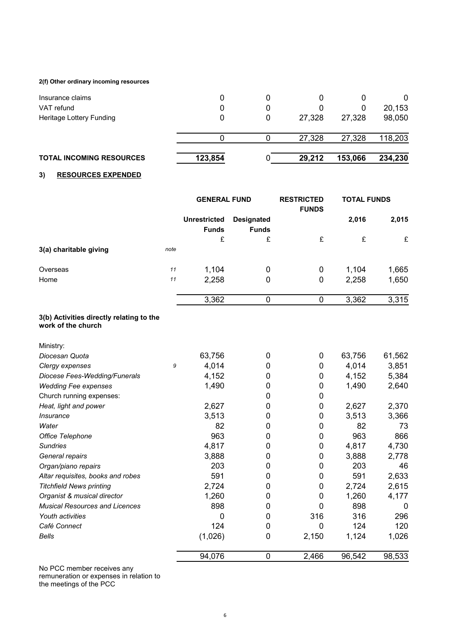#### **2(f) Other ordinary incoming resources**

| <b>TOTAL INCOMING RESOURCES</b> | 123,854 | 29,212 | 153,066 | 234,230 |
|---------------------------------|---------|--------|---------|---------|
|                                 |         | 27,328 | 27,328  | 118,203 |
|                                 |         |        |         |         |
| Heritage Lottery Funding        |         | 27,328 | 27,328  | 98,050  |
| VAT refund                      |         |        |         | 20,153  |
| Insurance claims                |         |        |         | 0       |

#### **3) RESOURCES EXPENDED**

|                        |      | <b>GENERAL FUND</b>                 |                                   | <b>RESTRICTED</b><br><b>FUNDS</b> | <b>TOTAL FUNDS</b> |       |
|------------------------|------|-------------------------------------|-----------------------------------|-----------------------------------|--------------------|-------|
|                        |      | <b>Unrestricted</b><br><b>Funds</b> | <b>Designated</b><br><b>Funds</b> |                                   | 2,016              | 2,015 |
|                        |      | £                                   | £                                 | £                                 | £                  | £     |
| 3(a) charitable giving | note |                                     |                                   |                                   |                    |       |
| Overseas               | 11   | 1,104                               | 0                                 | 0                                 | 1,104              | 1,665 |
| Home                   | 11   | 2,258                               | 0                                 | 0                                 | 2,258              | 1,650 |
|                        |      | 3,362                               | 0                                 |                                   | 3,362              | 3,315 |

#### **3(b) Activities directly relating to the work of the church**

| Ministry:                             |   |         |   |       |        |        |
|---------------------------------------|---|---------|---|-------|--------|--------|
| Diocesan Quota                        |   | 63,756  | 0 | 0     | 63,756 | 61,562 |
| Clergy expenses                       | 9 | 4,014   | 0 | 0     | 4,014  | 3,851  |
| Diocese Fees-Wedding/Funerals         |   | 4,152   | 0 | 0     | 4,152  | 5,384  |
| <b>Wedding Fee expenses</b>           |   | 1,490   | 0 | 0     | 1,490  | 2,640  |
| Church running expenses:              |   |         | 0 | 0     |        |        |
| Heat, light and power                 |   | 2,627   | 0 | 0     | 2,627  | 2,370  |
| <i><b>Insurance</b></i>               |   | 3,513   | 0 | 0     | 3,513  | 3,366  |
| Water                                 |   | 82      | 0 | 0     | 82     | 73     |
| Office Telephone                      |   | 963     | 0 | 0     | 963    | 866    |
| <b>Sundries</b>                       |   | 4,817   | 0 | 0     | 4,817  | 4,730  |
| General repairs                       |   | 3,888   | 0 | 0     | 3,888  | 2,778  |
| Organ/piano repairs                   |   | 203     | 0 | 0     | 203    | 46     |
| Altar requisites, books and robes     |   | 591     | 0 | 0     | 591    | 2,633  |
| <b>Titchfield News printing</b>       |   | 2,724   | 0 | 0     | 2,724  | 2,615  |
| Organist & musical director           |   | 1,260   | 0 | 0     | 1,260  | 4,177  |
| <b>Musical Resources and Licences</b> |   | 898     | 0 | O     | 898    | 0      |
| Youth activities                      |   | 0       | 0 | 316   | 316    | 296    |
| Café Connect                          |   | 124     | 0 | 0     | 124    | 120    |
| <b>Bells</b>                          |   | (1,026) | 0 | 2,150 | 1,124  | 1,026  |
|                                       |   | 94,076  | 0 | 2,466 | 96,542 | 98,533 |

No PCC member receives any remuneration or expenses in relation to the meetings of the PCC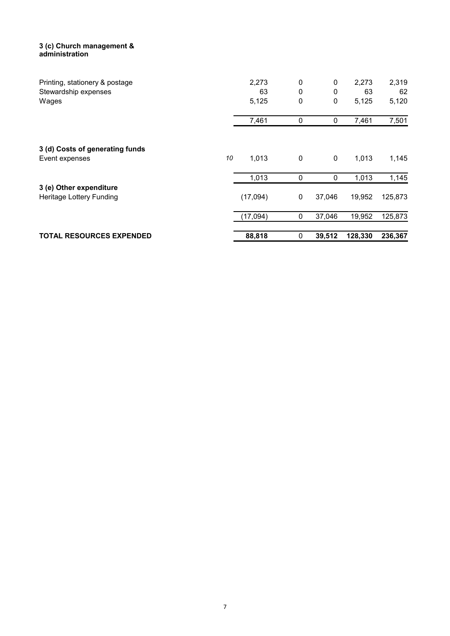#### **3 (c) Church management & administration**

| Printing, stationery & postage<br>Stewardship expenses |    | 2,273<br>63 | 0<br>0      | 0<br>0      | 2,273<br>63 | 2,319<br>62 |
|--------------------------------------------------------|----|-------------|-------------|-------------|-------------|-------------|
| Wages                                                  |    | 5,125       | 0           | $\pmb{0}$   | 5,125       | 5,120       |
|                                                        |    | 7,461       | 0           | 0           | 7,461       | 7,501       |
| 3 (d) Costs of generating funds<br>Event expenses      | 10 | 1,013       | 0           | $\mathbf 0$ | 1,013       | 1,145       |
|                                                        |    | 1,013       | 0           | 0           | 1,013       | 1,145       |
| 3 (e) Other expenditure<br>Heritage Lottery Funding    |    | (17,094)    | $\mathbf 0$ | 37,046      | 19,952      | 125,873     |
|                                                        |    | (17,094)    | 0           | 37,046      | 19,952      | 125,873     |
| <b>TOTAL RESOURCES EXPENDED</b>                        |    | 88,818      | 0           | 39,512      | 128,330     | 236,367     |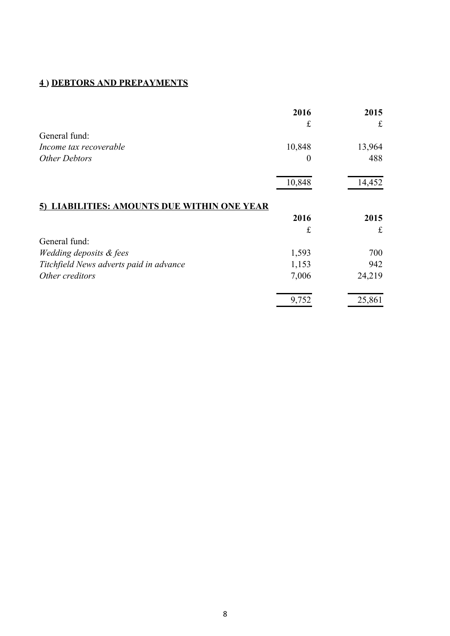# **4 ) DEBTORS AND PREPAYMENTS**

|                                                 | 2016             | 2015        |
|-------------------------------------------------|------------------|-------------|
|                                                 | £                | £           |
| General fund:                                   |                  |             |
| Income tax recoverable                          | 10,848           | 13,964      |
| <b>Other Debtors</b>                            | $\boldsymbol{0}$ | 488         |
|                                                 | 10,848           | 14,452      |
| <u>LIABILITIES: AMOUNTS DUE WITHIN ONE YEAR</u> |                  |             |
|                                                 | 2016             | 2015        |
|                                                 | £                | $\mathbf f$ |
| General fund:                                   |                  |             |
| Wedding deposits & fees                         | 1,593            | 700         |
| Titchfield News adverts paid in advance         | 1,153            | 942         |
| Other creditors                                 | 7,006            | 24,219      |
|                                                 | 9,752            | 25,861      |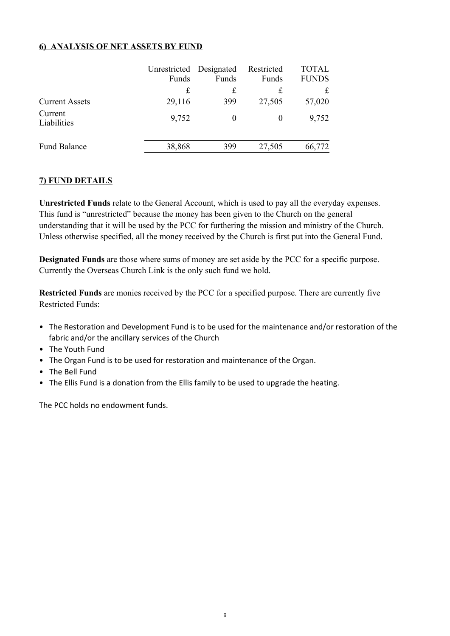### **6) ANALYSIS OF NET ASSETS BY FUND**

|                        | Unrestricted Designated<br>Funds | Funds    | Restricted<br>Funds | <b>TOTAL</b><br><b>FUNDS</b> |
|------------------------|----------------------------------|----------|---------------------|------------------------------|
|                        | £                                | £        | £                   | £                            |
| <b>Current Assets</b>  | 29,116                           | 399      | 27,505              | 57,020                       |
| Current<br>Liabilities | 9,752                            | $\theta$ | $\theta$            | 9,752                        |
| <b>Fund Balance</b>    | 38,868                           | 399      | 27,505              | 66,772                       |

### **7) FUND DETAILS**

This fund is "unrestricted" because the money has been given to the Church on the general understanding that it will be used by the PCC for furthering the mission and ministry of the Church. Unless otherwise specified, all the money received by the Church is first put into the General Fund. **Unrestricted Funds** relate to the General Account, which is used to pay all the everyday expenses.

Currently the Overseas Church Link is the only such fund we hold. **Designated Funds** are those where sums of money are set aside by the PCC for a specific purpose.

Restricted Funds: **Restricted Funds** are monies received by the PCC for a specified purpose. There are currently five

- fabric and/or the ancillary services of the Church • The Restoration and Development Fund is to be used for the maintenance and/or restoration of the
- The Youth Fund
- The Organ Fund is to be used for restoration and maintenance of the Organ.
- The Bell Fund
- The Ellis Fund is a donation from the Ellis family to be used to upgrade the heating.

The PCC holds no endowment funds.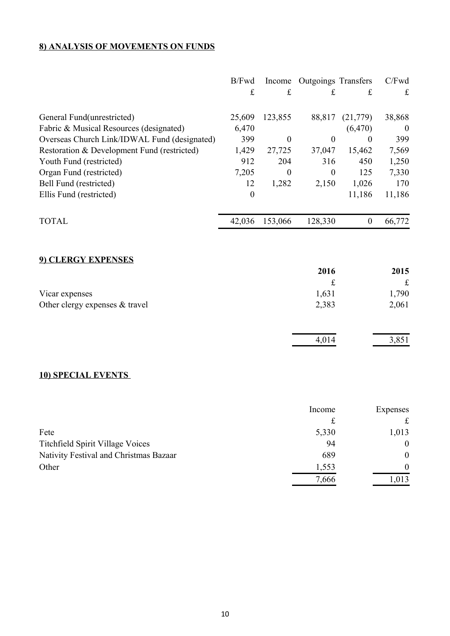# **8) ANALYSIS OF MOVEMENTS ON FUNDS**

|                                              | B/Fwd<br>$\mathbf f$ | Income<br>£      | <b>Outgoings Transfers</b><br>£ | £                | C/Fwd<br>$\mathbf f$ |
|----------------------------------------------|----------------------|------------------|---------------------------------|------------------|----------------------|
| General Fund(unrestricted)                   | 25,609               | 123,855          | 88,817                          | (21,779)         | 38,868               |
| Fabric & Musical Resources (designated)      | 6,470                |                  |                                 | (6, 470)         | $\boldsymbol{0}$     |
| Overseas Church Link/IDWAL Fund (designated) | 399                  | $\boldsymbol{0}$ | $\mathbf{0}$                    | $\theta$         | 399                  |
| Restoration & Development Fund (restricted)  | 1,429                | 27,725           | 37,047                          | 15,462           | 7,569                |
| Youth Fund (restricted)                      | 912                  | 204              | 316                             | 450              | 1,250                |
| Organ Fund (restricted)                      | 7,205                | $\overline{0}$   | $\boldsymbol{0}$                | 125              | 7,330                |
| Bell Fund (restricted)                       | 12                   | 1,282            | 2,150                           | 1,026            | 170                  |
| Ellis Fund (restricted)                      | $\mathbf{0}$         |                  |                                 | 11,186           | 11,186               |
| <b>TOTAL</b>                                 | 42,036               | 153,066          | 128,330                         | $\boldsymbol{0}$ | 66,772               |
| 9) CLERGY EXPENSES                           |                      |                  |                                 |                  |                      |
|                                              |                      |                  | 2016                            |                  | 2015                 |
|                                              |                      |                  | £                               |                  | $\mathbf f$          |
| Vicar expenses                               |                      |                  | 1,631                           |                  | 1,790                |
| Other clergy expenses & travel               |                      |                  | 2,383                           |                  | 2,061                |
|                                              |                      |                  | 4,014                           |                  | 3,851                |

# **10) SPECIAL EVENTS**

|                                        | Income | Expenses     |
|----------------------------------------|--------|--------------|
|                                        |        |              |
| Fete                                   | 5,330  | 1,013        |
| Titchfield Spirit Village Voices       | 94     | $\mathbf{0}$ |
| Nativity Festival and Christmas Bazaar | 689    | $\Omega$     |
| Other                                  | 1,553  | $\Omega$     |
|                                        | 7,666  | 1,013        |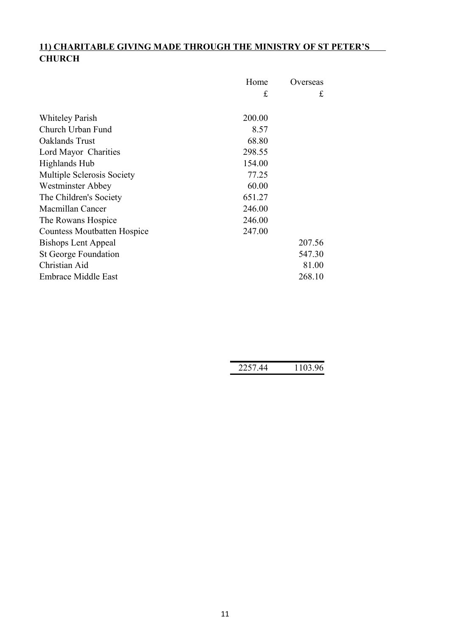# **11) CHARITABLE GIVING MADE THROUGH THE MINISTRY OF ST PETER'S CHURCH**

|                                    | Home   | Overseas |
|------------------------------------|--------|----------|
|                                    | £      | £        |
|                                    |        |          |
| <b>Whiteley Parish</b>             | 200.00 |          |
| Church Urban Fund                  | 8.57   |          |
| Oaklands Trust                     | 68.80  |          |
| Lord Mayor Charities               | 298.55 |          |
| Highlands Hub                      | 154.00 |          |
| Multiple Sclerosis Society         | 77.25  |          |
| Westminster Abbey                  | 60.00  |          |
| The Children's Society             | 651.27 |          |
| Macmillan Cancer                   | 246.00 |          |
| The Rowans Hospice                 | 246.00 |          |
| <b>Countess Moutbatten Hospice</b> | 247.00 |          |
| <b>Bishops Lent Appeal</b>         |        | 207.56   |
| St George Foundation               |        | 547.30   |
| Christian Aid                      |        | 81.00    |
| <b>Embrace Middle East</b>         |        | 268.10   |

| $\Lambda$<br>7711 | ΩC<br>103.<br>Γ<br>.U.S. 90. |
|-------------------|------------------------------|
|                   |                              |